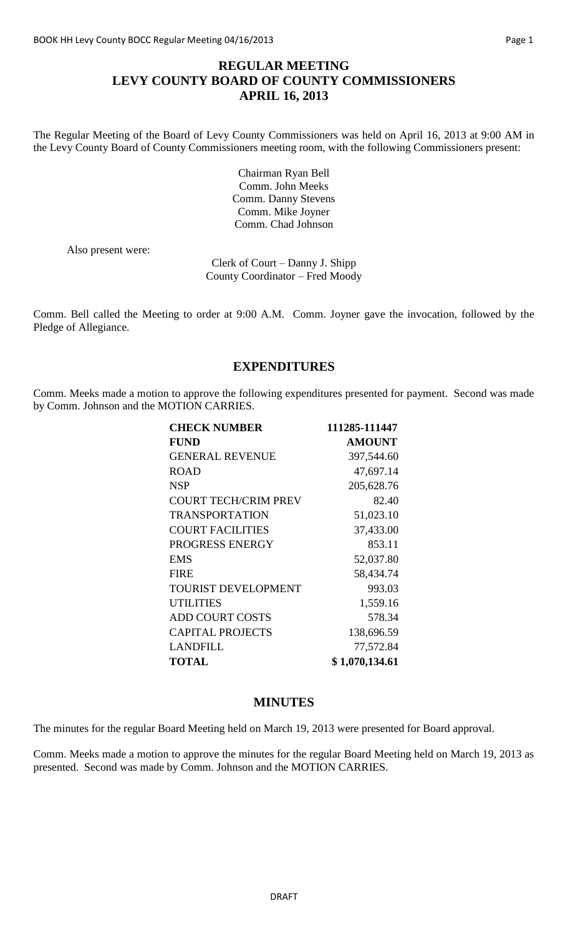## **REGULAR MEETING LEVY COUNTY BOARD OF COUNTY COMMISSIONERS APRIL 16, 2013**

The Regular Meeting of the Board of Levy County Commissioners was held on April 16, 2013 at 9:00 AM in the Levy County Board of County Commissioners meeting room, with the following Commissioners present:

> Chairman Ryan Bell Comm. John Meeks Comm. Danny Stevens Comm. Mike Joyner Comm. Chad Johnson

Also present were:

Clerk of Court – Danny J. Shipp County Coordinator – Fred Moody

Comm. Bell called the Meeting to order at 9:00 A.M. Comm. Joyner gave the invocation, followed by the Pledge of Allegiance.

### **EXPENDITURES**

Comm. Meeks made a motion to approve the following expenditures presented for payment. Second was made by Comm. Johnson and the MOTION CARRIES.

| <b>CHECK NUMBER</b>         | 111285-111447  |
|-----------------------------|----------------|
| <b>FUND</b>                 | <b>AMOUNT</b>  |
| <b>GENERAL REVENUE</b>      | 397,544.60     |
| <b>ROAD</b>                 | 47,697.14      |
| <b>NSP</b>                  | 205,628.76     |
| <b>COURT TECH/CRIM PREV</b> | 82.40          |
| <b>TRANSPORTATION</b>       | 51,023.10      |
| <b>COURT FACILITIES</b>     | 37,433.00      |
| PROGRESS ENERGY             | 853.11         |
| <b>EMS</b>                  | 52,037.80      |
| <b>FIRE</b>                 | 58,434.74      |
| <b>TOURIST DEVELOPMENT</b>  | 993.03         |
| <b>UTILITIES</b>            | 1,559.16       |
| <b>ADD COURT COSTS</b>      | 578.34         |
| <b>CAPITAL PROJECTS</b>     | 138,696.59     |
| <b>LANDFILL</b>             | 77,572.84      |
| <b>TOTAL</b>                | \$1,070,134.61 |

### **MINUTES**

The minutes for the regular Board Meeting held on March 19, 2013 were presented for Board approval.

Comm. Meeks made a motion to approve the minutes for the regular Board Meeting held on March 19, 2013 as presented. Second was made by Comm. Johnson and the MOTION CARRIES.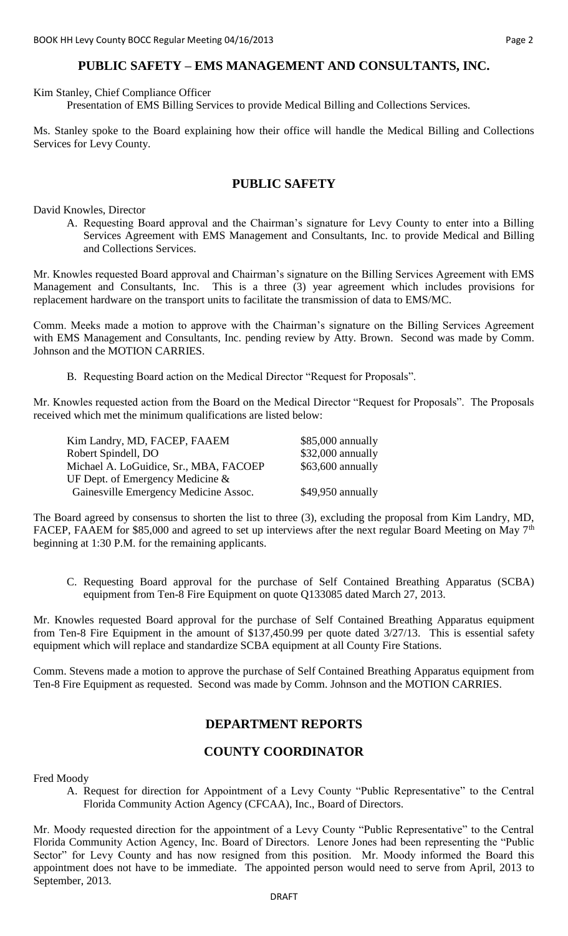## **PUBLIC SAFETY – EMS MANAGEMENT AND CONSULTANTS, INC.**

Kim Stanley, Chief Compliance Officer

Presentation of EMS Billing Services to provide Medical Billing and Collections Services.

Ms. Stanley spoke to the Board explaining how their office will handle the Medical Billing and Collections Services for Levy County.

### **PUBLIC SAFETY**

David Knowles, Director

A. Requesting Board approval and the Chairman's signature for Levy County to enter into a Billing Services Agreement with EMS Management and Consultants, Inc. to provide Medical and Billing and Collections Services.

Mr. Knowles requested Board approval and Chairman's signature on the Billing Services Agreement with EMS Management and Consultants, Inc. This is a three (3) year agreement which includes provisions for replacement hardware on the transport units to facilitate the transmission of data to EMS/MC.

Comm. Meeks made a motion to approve with the Chairman's signature on the Billing Services Agreement with EMS Management and Consultants, Inc. pending review by Atty. Brown. Second was made by Comm. Johnson and the MOTION CARRIES.

B. Requesting Board action on the Medical Director "Request for Proposals".

Mr. Knowles requested action from the Board on the Medical Director "Request for Proposals". The Proposals received which met the minimum qualifications are listed below:

| Kim Landry, MD, FACEP, FAAEM           | \$85,000 annually  |
|----------------------------------------|--------------------|
| Robert Spindell, DO                    | \$32,000 annually  |
| Michael A. LoGuidice, Sr., MBA, FACOEP | $$63,600$ annually |
| UF Dept. of Emergency Medicine $\&$    |                    |
| Gainesville Emergency Medicine Assoc.  | \$49,950 annually  |
|                                        |                    |

The Board agreed by consensus to shorten the list to three (3), excluding the proposal from Kim Landry, MD, FACEP, FAAEM for \$85,000 and agreed to set up interviews after the next regular Board Meeting on May 7<sup>th</sup> beginning at 1:30 P.M. for the remaining applicants.

C. Requesting Board approval for the purchase of Self Contained Breathing Apparatus (SCBA) equipment from Ten-8 Fire Equipment on quote Q133085 dated March 27, 2013.

Mr. Knowles requested Board approval for the purchase of Self Contained Breathing Apparatus equipment from Ten-8 Fire Equipment in the amount of \$137,450.99 per quote dated 3/27/13. This is essential safety equipment which will replace and standardize SCBA equipment at all County Fire Stations.

Comm. Stevens made a motion to approve the purchase of Self Contained Breathing Apparatus equipment from Ten-8 Fire Equipment as requested. Second was made by Comm. Johnson and the MOTION CARRIES.

# **DEPARTMENT REPORTS**

### **COUNTY COORDINATOR**

Fred Moody

A. Request for direction for Appointment of a Levy County "Public Representative" to the Central Florida Community Action Agency (CFCAA), Inc., Board of Directors.

Mr. Moody requested direction for the appointment of a Levy County "Public Representative" to the Central Florida Community Action Agency, Inc. Board of Directors. Lenore Jones had been representing the "Public Sector" for Levy County and has now resigned from this position. Mr. Moody informed the Board this appointment does not have to be immediate. The appointed person would need to serve from April, 2013 to September, 2013.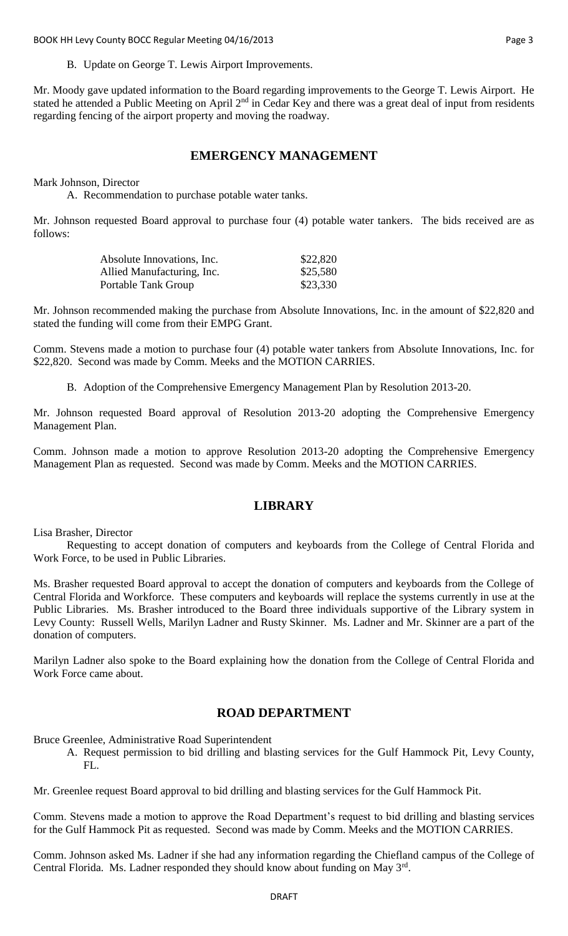BOOK HH Levy County BOCC Regular Meeting 04/16/2013 **Page 3** And the United States of the Page 3

B. Update on George T. Lewis Airport Improvements.

Mr. Moody gave updated information to the Board regarding improvements to the George T. Lewis Airport. He stated he attended a Public Meeting on April 2<sup>nd</sup> in Cedar Key and there was a great deal of input from residents regarding fencing of the airport property and moving the roadway.

#### **EMERGENCY MANAGEMENT**

Mark Johnson, Director

A. Recommendation to purchase potable water tanks.

Mr. Johnson requested Board approval to purchase four (4) potable water tankers. The bids received are as follows:

| Absolute Innovations, Inc. | \$22,820 |
|----------------------------|----------|
| Allied Manufacturing, Inc. | \$25,580 |
| Portable Tank Group        | \$23,330 |

Mr. Johnson recommended making the purchase from Absolute Innovations, Inc. in the amount of \$22,820 and stated the funding will come from their EMPG Grant.

Comm. Stevens made a motion to purchase four (4) potable water tankers from Absolute Innovations, Inc. for \$22,820. Second was made by Comm. Meeks and the MOTION CARRIES.

B. Adoption of the Comprehensive Emergency Management Plan by Resolution 2013-20.

Mr. Johnson requested Board approval of Resolution 2013-20 adopting the Comprehensive Emergency Management Plan.

Comm. Johnson made a motion to approve Resolution 2013-20 adopting the Comprehensive Emergency Management Plan as requested. Second was made by Comm. Meeks and the MOTION CARRIES.

### **LIBRARY**

Lisa Brasher, Director

Requesting to accept donation of computers and keyboards from the College of Central Florida and Work Force, to be used in Public Libraries.

Ms. Brasher requested Board approval to accept the donation of computers and keyboards from the College of Central Florida and Workforce. These computers and keyboards will replace the systems currently in use at the Public Libraries. Ms. Brasher introduced to the Board three individuals supportive of the Library system in Levy County: Russell Wells, Marilyn Ladner and Rusty Skinner. Ms. Ladner and Mr. Skinner are a part of the donation of computers.

Marilyn Ladner also spoke to the Board explaining how the donation from the College of Central Florida and Work Force came about.

### **ROAD DEPARTMENT**

Bruce Greenlee, Administrative Road Superintendent

A. Request permission to bid drilling and blasting services for the Gulf Hammock Pit, Levy County, FL.

Mr. Greenlee request Board approval to bid drilling and blasting services for the Gulf Hammock Pit.

Comm. Stevens made a motion to approve the Road Department's request to bid drilling and blasting services for the Gulf Hammock Pit as requested. Second was made by Comm. Meeks and the MOTION CARRIES.

Comm. Johnson asked Ms. Ladner if she had any information regarding the Chiefland campus of the College of Central Florida. Ms. Ladner responded they should know about funding on May 3<sup>rd</sup>.